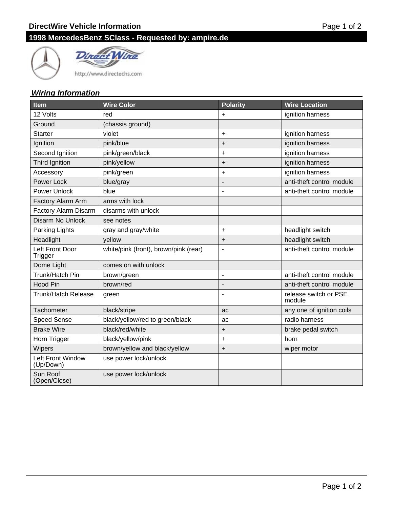# **1998 MercedesBenz SClass - Requested by: ampire.de**





http://www.directechs.com

### **Wiring Information**

| <b>Item</b>                    | <b>Wire Color</b>                     | <b>Polarity</b>          | <b>Wire Location</b>            |
|--------------------------------|---------------------------------------|--------------------------|---------------------------------|
| 12 Volts                       | red                                   | $\ddot{}$                | ignition harness                |
| Ground                         | (chassis ground)                      |                          |                                 |
| <b>Starter</b>                 | violet                                | $\ddot{}$                | ignition harness                |
| Ignition                       | pink/blue                             | $\ddot{}$                | ignition harness                |
| Second Ignition                | pink/green/black                      | $\ddot{}$                | ignition harness                |
| Third Ignition                 | pink/yellow                           | $\ddot{}$                | ignition harness                |
| Accessory                      | pink/green                            | $\ddot{}$                | ignition harness                |
| Power Lock                     | blue/gray                             |                          | anti-theft control module       |
| <b>Power Unlock</b>            | blue                                  | $\blacksquare$           | anti-theft control module       |
| Factory Alarm Arm              | arms with lock                        |                          |                                 |
| Factory Alarm Disarm           | disarms with unlock                   |                          |                                 |
| Disarm No Unlock               | see notes                             |                          |                                 |
| Parking Lights                 | gray and gray/white                   | $\ddot{}$                | headlight switch                |
| Headlight                      | yellow                                | $\ddot{}$                | headlight switch                |
| Left Front Door<br>Trigger     | white/pink (front), brown/pink (rear) |                          | anti-theft control module       |
| Dome Light                     | comes on with unlock                  |                          |                                 |
| Trunk/Hatch Pin                | brown/green                           | $\overline{\phantom{a}}$ | anti-theft control module       |
| <b>Hood Pin</b>                | brown/red                             |                          | anti-theft control module       |
| Trunk/Hatch Release            | green                                 |                          | release switch or PSE<br>module |
| Tachometer                     | black/stripe                          | ac                       | any one of ignition coils       |
| <b>Speed Sense</b>             | black/yellow/red to green/black       | ac                       | radio harness                   |
| <b>Brake Wire</b>              | black/red/white                       | $\ddot{}$                | brake pedal switch              |
| Horn Trigger                   | black/yellow/pink                     | $\ddot{}$                | horn                            |
| <b>Wipers</b>                  | brown/yellow and black/yellow         | $\ddot{}$                | wiper motor                     |
| Left Front Window<br>(Up/Down) | use power lock/unlock                 |                          |                                 |
| Sun Roof<br>(Open/Close)       | use power lock/unlock                 |                          |                                 |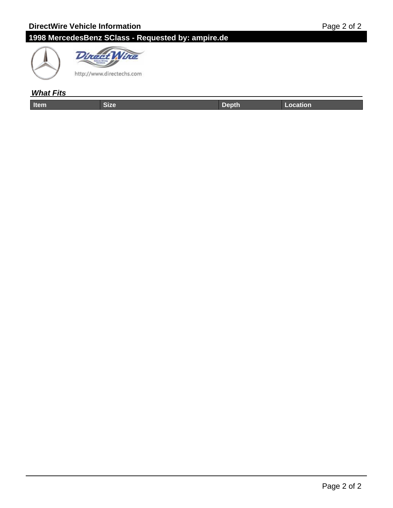# **1998 MercedesBenz SClass - Requested by: ampire.de**





### **What Fits**

| ----- | . | المستقبل أنساء فالمتحدث والمستحدث |
|-------|---|-----------------------------------|
|       |   |                                   |